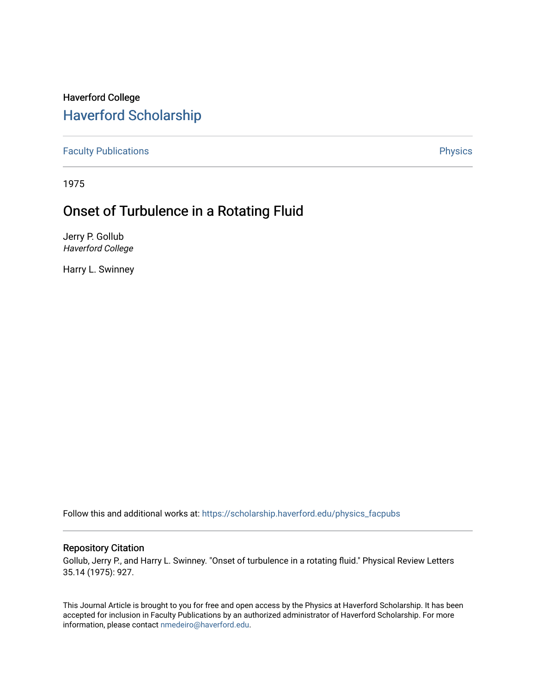## Haverford College [Haverford Scholarship](https://scholarship.haverford.edu/)

[Faculty Publications](https://scholarship.haverford.edu/physics_facpubs) **Physics** 

1975

# Onset of Turbulence in a Rotating Fluid

Jerry P. Gollub Haverford College

Harry L. Swinney

Follow this and additional works at: [https://scholarship.haverford.edu/physics\\_facpubs](https://scholarship.haverford.edu/physics_facpubs?utm_source=scholarship.haverford.edu%2Fphysics_facpubs%2F250&utm_medium=PDF&utm_campaign=PDFCoverPages) 

## Repository Citation

Gollub, Jerry P., and Harry L. Swinney. "Onset of turbulence in a rotating fluid." Physical Review Letters 35.14 (1975): 927.

This Journal Article is brought to you for free and open access by the Physics at Haverford Scholarship. It has been accepted for inclusion in Faculty Publications by an authorized administrator of Haverford Scholarship. For more information, please contact [nmedeiro@haverford.edu.](mailto:nmedeiro@haverford.edu)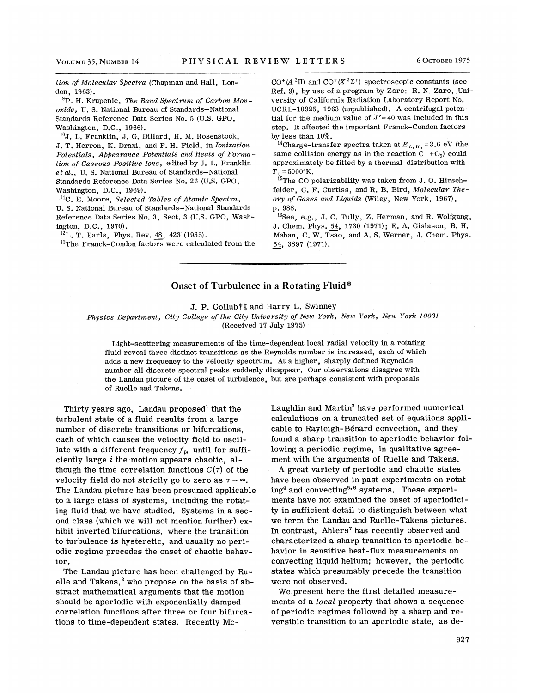tion of Molecular Spectra (Chapman and Hall, London, 1963).

 ${}^{9}P$ . H. Krupenie, The Band Spectrum of Carbon Monoxide, U. S. National Bureau of Standards-National Standards Reference Data Series No. 5 {U.S. GPO. , Washington, D.C., 1966).

 $^{10}$ J. L. Franklin, J. G. Dillard, H. M. Rosenstock, J. T. Herron, K. Draxl, and F. H. Field, in Ionization Potentials, Appearance Potentials and Heats of Formation of Gaseous Positive Ions, edited by J. L. Franklin et al., U.S. National Bureau of Standards-National Standards Reference Data Series No. 26 (U.S. GPO, Washington, D.C., 1969).

 $^{11}$ C. E. Moore, Selected Tables of Atomic Spectra, U. S. National Bureau of Standards-National 'Standards Reference Data Series No. 3, Sect. 3 (U.S. GPO, Washington, D.C., 1970).

 $^{12}$ L. T. Earls, Phys. Rev. 48, 423 (1935).

<sup>13</sup>The Franck-Condon factors were calculated from the

 $CO^+(A^2\Pi)$  and  $CO^+(X^2\Sigma^+)$  spectroscopic constants (see Ref. 9), by use of a program by Zare: R. N. Zare, University of California Radiation Laboratory Report No. UCRL-10925, 1963 (unpublished). A centrifugal potential for the medium value of  $J' = 40$  was included in this step. It affected the important Franck-Condon factors by less than 10%.

<sup>14</sup>Charge-transfer spectra taken at  $E_{c, m}$  = 3.6 eV (the same collision energy as in the reaction  $C^+$ +O<sub>2</sub>) could approximately be fitted by a thermal distribution with  $T_{\rm 0}$ =5000°K.<br><sup>15</sup>The CO polarizability was taken from J. O. Hirsch

felder, C. F. Curtiss, and R. B. Bird, Molecular Theory of Gases and Liquids (Wiley, New York, 1967), p. 988.

 $^{16}$ See, e.g., J. C. Tully, Z. Herman, and R. Wolfgang, J. Chem. Phys. 54, <sup>1730</sup> (1971); E. A. Gislason, B. H. Mahan, C. W. Tsao, and A. S. Werner, J. Chem. Phys. 54, 3897 (1971).

### Onset of Turbulence in a Rotating Fluid\*

J. P. Gollub† $\dagger$  and Harry L. Swinney

Physics Department, City College of the City University of New York, New York, New York 10031 (Received 17 July 1975)

Light-scattering measurements of the time-dependent local radial velocity in a rotating fluid reveal three distinct transitions as the Reynolds number is increased, each of which adds a new frequency to the velocity spectrum. At a higher, sharply defined Reynolds number all discrete spectral peaks suddenly disappear. Our observations disagree with the Landau picture of the onset of turbulence, but are perhaps consistent with proposals of Ruelle and Takens.

Thirty years ago, Landau proposed' that the turbulent state of a fluid results from a large number of discrete transitions or bifurcations, each of which causes the velocity field to oscillate with a different frequency  $f_i$ , until for sufficiently large  $i$  the motion appears chaotic, although the time correlation functions  $C(\tau)$  of the velocity field do not strictly go to zero as  $\tau \rightarrow \infty$ . The Landau picture has been presumed applicable to a large class of systems, including the rotating fluid that we have studied. Systems in a second class (which we will not mention further) exhibit inverted bifurcations, where the transition to turbulence is hysteretic, and usually no periodic regime precedes the onset of chaotic behavior.

The Landau picture has been challenged by Ruelle and Takens,<sup>2</sup> who propose on the basis of abstract mathematical arguments that the motion should be aperiodic with exponentially damped correlation functions after three or four bifurcations to time-dependent states. Recently McLaughlin and Martin' have performed numerical calculations on a truncated set of equations applicable to Rayleigh-Benard convection, and they found a sharp transition to aperiodic behavior following a periodic regime, in qualitative agreement with the arguments of Ruelle and Takens.

A great variety of periodic and chaotic states have been observed in past experiments on rotating<sup>4</sup> and convecting<sup>5,6</sup> systems. These experiments have not examined the onset of aperiodicity in sufficient detail to distinguish between what we term the Landau and Ruelle- Takens pictures. In contrast, Ahlers' has recently observed and characterized a sharp transition to aperiodic behavior in sensitive heat-flux measurements on convecting liquid helium; however, the periodic states which presumably precede the transition were not observed.

We present here the first detailed measurements of a local property that shows a sequence of periodic regimes followed by a sharp and reversible transition to an aperiodic state, as de-

927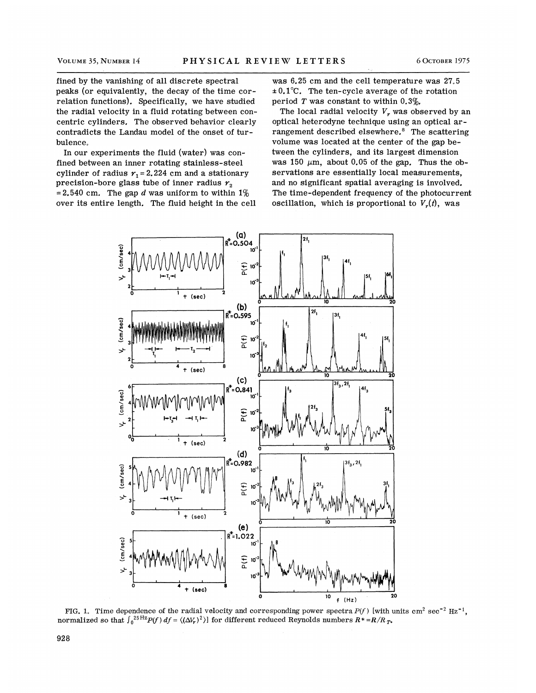fined by the vanishing of all discrete spectral peaks (or equivalently, the decay of the time correlation functions). Specifically, we have studied the radial velocity in a fluid rotating between concentric cylinders. The observed behavior clearly contradicts the Landau model of the onset of turbulence.

In our experiments the fluid (water) was confined between an inner rotating stainless-steel cylinder of radius  $r_1 = 2.224$  cm and a stationary precision-bore glass tube of inner radius  $r<sub>2</sub>$ = 2.540 cm. The gap d was uniform to within  $1\%$ over its entire length. The fluid height in the cell

was 6.25 cm and the cell temperature was 27.5  $\pm 0.1$ °C. The ten-cycle average of the rotation period  $T$  was constant to within 0.3%.

The local radial velocity  $V_r$  was observed by an optical heterodyne technique using an optical arrangement described elsewhere.<sup>8</sup> The scattering volume was located at the center of the gap between the cylinders, and its largest dimension was 150  $\mu$ m, about 0.05 of the gap. Thus the observations are essentially local measurements. and no significant spatial averaging is involved. The time-dependent frequency of the photocurrent oscillation, which is proportional to  $V_r(t)$ , was



FIG. 1. Time dependence of the radial velocity and corresponding power spectra  $P(f)$  [with units cm<sup>2</sup> sec<sup>-2</sup> Hz<sup>-1</sup>. normalized so that  $\int_0^{25\text{Hz}} P(f) df = \langle (\Delta V_r)^2 \rangle$  for different reduced Reynolds numbers  $R^* = R/R_T$ .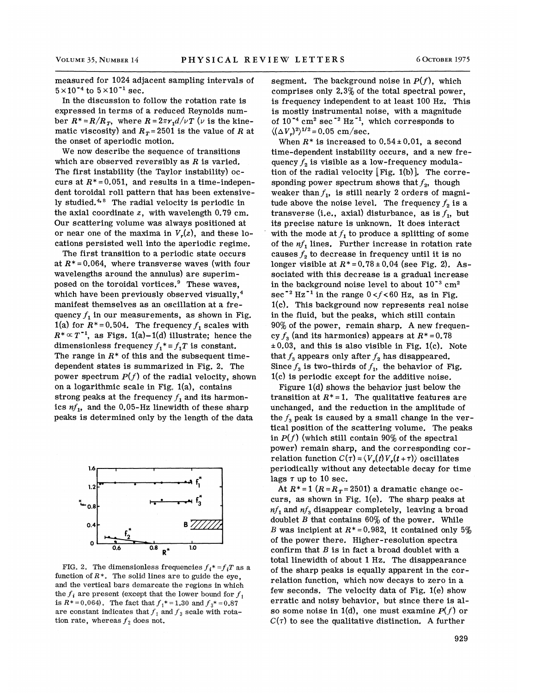measured for 1024 adjacent sampling intervals of  $5 \times 10^{-4}$  to  $5 \times 10^{-1}$  sec.

In the discussion to follow the rotation rate is expressed in terms of a reduced Reynolds number  $R^* = R/R_T$ , where  $R = 2\pi r_1 d/\nu T$  ( $\nu$  is the kinematic viscosity) and  $R_T = 2501$  is the value of R at the onset of aperiodic motion.

We now describe the sequence of transitions which are observed reversibly as  $R$  is varied. The first instability (the Taylor instability) occurs at  $R^* = 0.051$ , and results in a time-independence dent toroidal roll pattern that has been extensively studied.<sup>4,8</sup> The radial velocity is periodic in the axial coordinate  $z$ , with wavelength 0.79 cm. Our scattering volume was always positioned at or near one of the maxima in  $V_{\nu}(z)$ , and these locations persisted well into the aperiodic regime.

The first transition to a periodic state occurs at  $R^* = 0.064$ , where transverse waves (with four wavelengths around the annulus) are superimposed on the toroidal vortices.<sup>9</sup> These waves. which have been previously observed visually,<sup>4</sup> manifest themselves as an oscillation at a frequency  $f_1$  in our measurements, as shown in Fig. 1(a) for  $R^*=0.504$ . The frequency  $f_1$  scales with  $R^* \propto T^{-1}$ , as Figs. 1(a)-1(d) illustrate; hence the dimensionless frequency  $f_1^* = f_1T$  is constant. The range in  $R^*$  of this and the subsequent timedependent states is summarized in Fig. 2. The power spectrum  $P(f)$  of the radial velocity, shown on a logarithmic scale in Fig.  $1(a)$ , contains strong peaks at the frequency  $f<sub>1</sub>$  and its harmonics  $nf_1$ , and the 0.05-Hz linewidth of these sharp peaks is determined only by the length of the data



FIG. 2. The dimensionless frequencies  $f_i^* = f_iT$  as a function of  $R^*$ . The solid lines are to guide the eye. and the vertical bars demarcate the regions in which the  $f_i$  are present (except that the lower bound for  $f_i$ is  $R^* = 0.064$ . The fact that  $f_1^* = 1.30$  and  $f_3^* = 0.87$ are constant indicates that  $f_1$  and  $f_3$  scale with rotation rate, whereas  $f_2$  does not.

segment. The background noise in  $P(f)$ , which comprises only  $2.3\%$  of the total spectral power. is frequency independent to at least 100 Hz. This is mostly instrumental noise, with a magnitude of  $10^{-4}$  cm<sup>2</sup> sec<sup>-2</sup> Hz<sup>-1</sup>, which corresponds to  $\langle (\Delta V_x)^2 \rangle^{1/2} = 0.05$  cm/sec.

When  $R^*$  is increased to  $0.54 \pm 0.01$ , a second time-dependent instability occurs, and a new frequency  $f<sub>2</sub>$  is visible as a low-frequency modulation of the radial velocity  $[Fig. 1(b)]$ . The corresponding power spectrum shows that  $f_2$ , though weaker than  $f_1$ , is still nearly 2 orders of magnitude above the noise level. The frequency  $f_2$  is a transverse (i.e., axial) disturbance, as is  $f_1$ , but its precise nature is unknown. It does interact with the mode at  $f<sub>1</sub>$  to produce a splitting of some of the  $nf_1$  lines. Further increase in rotation rate causes  $f<sub>2</sub>$  to decrease in frequency until it is no longer visible at  $R^* = 0.78 \pm 0.04$  (see Fig. 2). Associated with this decrease is a gradual increase in the background noise level to about  $10^{-3}$  cm<sup>2</sup> in the background holds lever to about 10 cm<br>sec<sup>-2</sup> Hz<sup>-1</sup> in the range  $0 < f < 60$  Hz, as in Fig. 1(c). This background now represents real noise in the fluid, but the peaks, which still contain  $90\%$  of the power, remain sharp. A new frequency  $f<sub>3</sub>$  (and its harmonics) appears at  $R^* = 0.78$  $\pm 0.03$ , and this is also visible in Fig. 1(c). Note that  $f_3$  appears only after  $f_2$  has disappeared. Since  $f_3$  is two-thirds of  $f_1$ , the behavior of Fig. 1(c) is periodic except for the additive noise.

Figure  $1(d)$  shows the behavior just below the transition at  $R^*=1$ . The qualitative features are unchanged, and the reduction in the amplitude of the  $f_3$  peak is caused by a small change in the vertical position of the scattering volume. The peaks in  $P(f)$  (which still contain 90% of the spectral power) remain sharp, and the corresponding correlation function  $C(\tau) = \langle V_r(t)V_r(t+\tau) \rangle$  oscillates periodically without any detectable decay for time lags  $\tau$  up to 10 sec.

At  $R^*=1$   $(R=R_T=2501)$  a dramatic change occurs, as shown in Fig. 1(e). The sharp peaks at  $nf_1$  and  $nf_3$  disappear completely, leaving a broad doublet B that contains  $60\%$  of the power. While B was incipient at  $R^*=0.982$ , it contained only 5% of the power there. Higher-resolution spectra confirm that  $B$  is in fact a broad doublet with a total linewidth of about I Hz. The disappearance of the sharp peaks is equally apparent in the correlation function, which now decays to zero in a few seconds. The velocity data of Fig. 1(e) show erratic and noisy behavior, but since there is also some noise in 1(d), one must examine  $P(f)$  or  $C(\tau)$  to see the qualitative distinction. A further